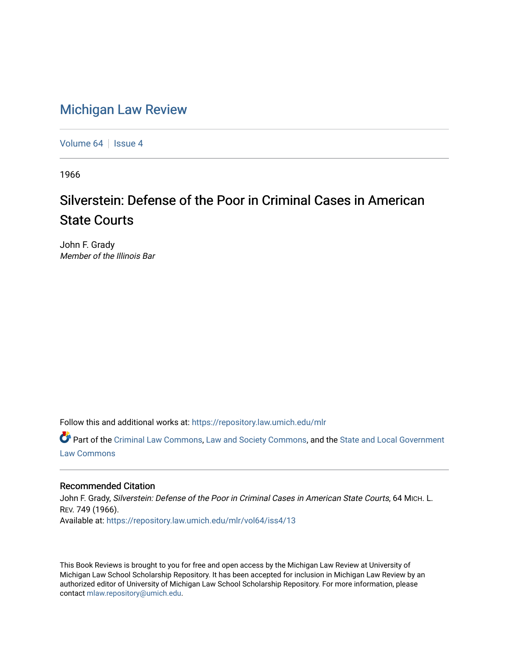## [Michigan Law Review](https://repository.law.umich.edu/mlr)

[Volume 64](https://repository.law.umich.edu/mlr/vol64) | [Issue 4](https://repository.law.umich.edu/mlr/vol64/iss4)

1966

# Silverstein: Defense of the Poor in Criminal Cases in American State Courts

John F. Grady Member of the Illinois Bar

Follow this and additional works at: [https://repository.law.umich.edu/mlr](https://repository.law.umich.edu/mlr?utm_source=repository.law.umich.edu%2Fmlr%2Fvol64%2Fiss4%2F13&utm_medium=PDF&utm_campaign=PDFCoverPages) 

Part of the [Criminal Law Commons,](http://network.bepress.com/hgg/discipline/912?utm_source=repository.law.umich.edu%2Fmlr%2Fvol64%2Fiss4%2F13&utm_medium=PDF&utm_campaign=PDFCoverPages) [Law and Society Commons](http://network.bepress.com/hgg/discipline/853?utm_source=repository.law.umich.edu%2Fmlr%2Fvol64%2Fiss4%2F13&utm_medium=PDF&utm_campaign=PDFCoverPages), and the [State and Local Government](http://network.bepress.com/hgg/discipline/879?utm_source=repository.law.umich.edu%2Fmlr%2Fvol64%2Fiss4%2F13&utm_medium=PDF&utm_campaign=PDFCoverPages)  [Law Commons](http://network.bepress.com/hgg/discipline/879?utm_source=repository.law.umich.edu%2Fmlr%2Fvol64%2Fiss4%2F13&utm_medium=PDF&utm_campaign=PDFCoverPages) 

### Recommended Citation

John F. Grady, Silverstein: Defense of the Poor in Criminal Cases in American State Courts, 64 MICH. L. REV. 749 (1966). Available at: [https://repository.law.umich.edu/mlr/vol64/iss4/13](https://repository.law.umich.edu/mlr/vol64/iss4/13?utm_source=repository.law.umich.edu%2Fmlr%2Fvol64%2Fiss4%2F13&utm_medium=PDF&utm_campaign=PDFCoverPages) 

This Book Reviews is brought to you for free and open access by the Michigan Law Review at University of Michigan Law School Scholarship Repository. It has been accepted for inclusion in Michigan Law Review by an authorized editor of University of Michigan Law School Scholarship Repository. For more information, please contact [mlaw.repository@umich.edu](mailto:mlaw.repository@umich.edu).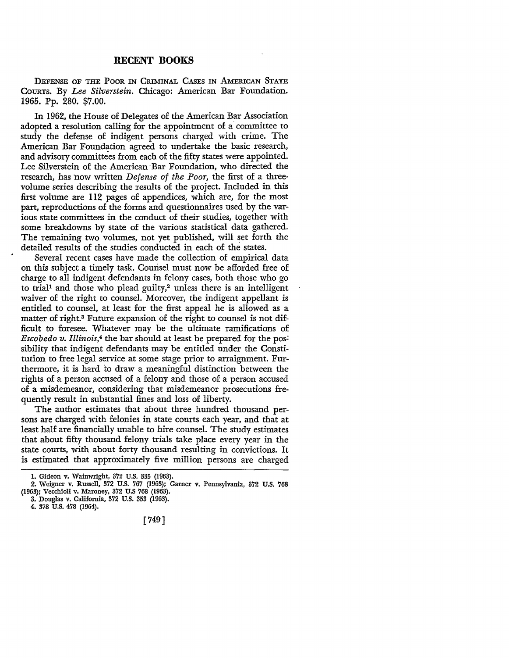#### **RECENT BOOKS**

DEFENSE OF THE PooR IN CRIMINAL CASES IN AMERICAN STATE COURTS. By *Lee Silverstein.* Chicago: American Bar Foundation. 1965. Pp. 280. \$7 .00.

In 1962, the House of Delegates of the American Bar Association adopted a resolution calling for the appointment of a· committee to study the defense of indigent persons charged with crime. The American Bar Foundation agreed to undertake the basic research, and advisory committees from each of the fifty states were appointed. Lee Silverstein of the American Bar Foundation, who directed the research, has now written *Defense of the Poor*, the first of a threevolume series describing the results of the project. Included in this first volume are 112 pages of appendices, which are, for the most part, reproductions of the forms and questionnaires used by the various state committees in the conduct of their studies, together with some breakdowns by state of the various statistical data gathered. The remaining two volumes, not yet published, will set forth the detailed results of the studies conducted in each of the states.

Several recent cases have made the collection of empirical data on this subject a timely task. Courisel must now be afforded free of charge to all indigent defendants in felony cases, both those who go to trial<sup>1</sup> and those who plead guilty,<sup>2</sup> unless there is an intelligent waiver of the right to counsel. Moreover, the indigent appellant is entitled to counsel, at least for the first appeal he is allowed as a matter of right.3 Future expansion of the right to counsel is not difficult to foresee. Whatever may be the ultimate ramifications of *Escobedo v. Illinois*,<sup>4</sup> the bar should at least be prepared for the possibility that indigent defendants may be entitled under the Constitution to free legal service at some stage prior to arraignment. Furthermore, it is hard to draw a meaningful distinction between the rights of a person accused of a felony and those of a person accused of a misdemeanor, considering that misdemeanor prosecutions frequently result in substantial fines and loss of liberty.

The author estimates that about three hundred thousand persons are charged with felonies in state courts each year, and that at least half are financially unable to hire counsel. The study estimates that about fifty thousand felony trials take place every year in the state courts, with about forty thousand resulting in convictions. It is estimated that approximately five million persons are charged

[749]

<sup>1.</sup> Gideon v. Wainwright, 372 U.S. 335 (1963).

<sup>2.</sup> Weigner v. Russell, 372 U.S. 767 (1963); Garner v. Pennsylvania, 372 U.S. 768 (1963); Vecchioli v. Maroney, 372 U.S 768 (1963).

<sup>3.</sup> Douglas v. California, 372 U.S. 353 (1963).

<sup>4. 378</sup> U.S. 478 (1964).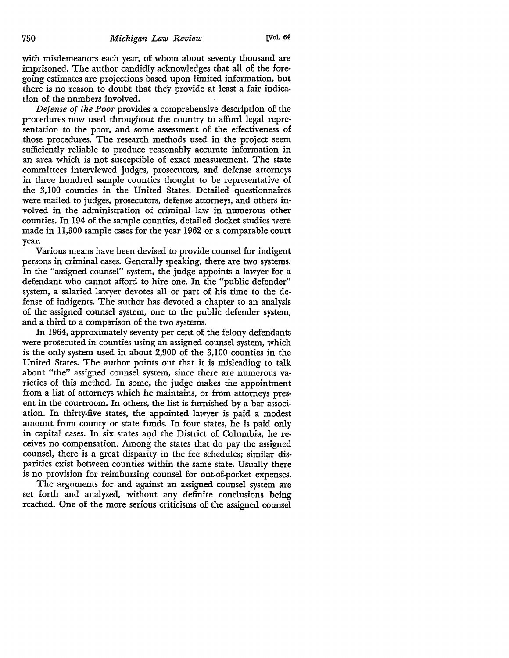with misdemeanors each year, of whom about seventy thousand are imprisoned. The author candidly acknowledges that all of the foregoing estimates are projections based upon limited information, but there is no reason to doubt that they provide at least a fair indication of the numbers involved.

*Defense of the Poor* provides a comprehensive description of the procedures now used throughout the country to afford legal representation to the poor, and some assessment of the effectiveness of those procedures. The research methods used in the project seem sufficiently reliable to produce reasonably accurate information in an area which is not susceptible of exact measurement. The state committees interviewed judges, prosecutors, and defense attorneys in three hundred sample counties thought to be representative of the 3,100 counties in the United States. Detailed questionnaires were mailed to judges, prosecutors, defense attorneys, and others involved in the administration of criminal law in numerous other counties. In 194 of the sample counties, detailed docket studies were made in 11,300 sample cases for the year 1962 or a comparable court year.

Various means have been devised to provide counsel for indigent persons in criminal cases. Generally speaking, there are two systems. In the "assigned counsel" system, the judge appoints a lawyer for a defendant who cannot afford to hire one. In the "public defender" system, a salaried lawyer devotes all or part of his time to the defense of indigents. The author has devoted a chapter to an analysis of the assigned counsel system, one to the public defender system, and a third to a comparison of the two systems.

In 1964, approximately seventy per cent of the felony defendants were prosecuted in counties using an assigned counsel system, which is the only system used in about 2,900 of the 3,100 counties in the United States. The author points out that it is misleading to talk about "the" assigned counsel system, since there are numerous varieties of this method. In some, the judge makes the appointment from a list of attorneys which he maintains, or from attorneys present in the courtroom. In others, the list is furnished by a bar association. In thirty-five states, the appointed lawyer is paid a modest amount from county or state funds. In four states, he is paid only in capital cases. In six states and the District of Columbia, he receives no compensation. Among the states that do pay the assigned counsel, there is a great disparity in the fee schedules; similar disparities exist between counties within the same state. Usually there is no provision for reimbursing counsel for out-of-pocket expenses.

The arguments for and against an assigned counsel system are set forth and analyzed, without any definite conclusions being reached. One of the more serious criticisms of the assigned counsel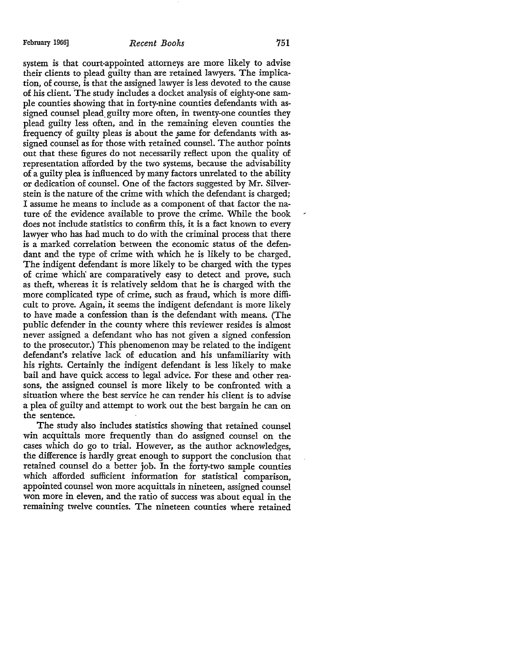system is that court-appointed attorneys are more likely to advise their clients to plead guilty than are retained lawyers. The implication, of course, is that the assigned lawyer is less devoted to the cause of his client. The study includes a docket analysis of eighty-one sample counties showing that in forty-nine counties defendants with assigned counsel plead. guilty more often, in twenty-one counties they plead guilty less often, and in the remaining eleven counties the frequency of guilty pleas is about the same for defendants with assigned counsel as for those with retained counsel. The author points out that these figures do not necessarily reflect upon the quality of representation afforded by the two systems, because the advisability of a guilty plea is influenced by many factors unrelated to the ability or dedication of counsel. One of the factors suggested by Mr. Silverstein is the nature of the crime with which the defendant is charged; I assume he means to include as a component of that factor the nature of the evidence available to prove the crime. While the book does not include statistics to confirm this, it is a fact known to every lawyer who has had much to do with the criminal process that there is a marked correlation between the economic status of the defendant and the type of crime with which he is likely to be charged. The indigent defendant is more likely to be charged with the types of crime which' are comparatively easy to detect and prove, such as theft, whereas it is relatively seldom that he is charged with the more complicated type of crime, such as fraud, which is more difficult to prove. Again, it seems the indigent defendant is more likely to have made a confession than is the defendant with means. (The public defender in the county where this reviewer resides is almost never assigned a defendant who has not given a signed confession to the prosecutor.) This phenomenon may be related to the indigent defendant's relative lack of education and his unfamiliarity with his rights. Certainly the indigent defendant is less likely to make bail and have quick access to legal advice. For these and other reasons, the assigned counsel is more likely to be confronted with a situation where the best service he can render his client is to advise a plea of guilty and attempt to work out the best bargain he can on the sentence.

The study also includes statistics showing that retained counsel win acquittals more frequently than do assigned counsel on the cases which do go to trial. However, as the author acknowledges, the difference is hardly great enough to support the conclusion that retained counsel do a better job. In the forty-two sample counties which afforded sufficient information for statistical comparison, appointed counsel won more acquittals in nineteen, assigned counsel won more in eleven, and the ratio of success was about equal in the remaining twelve counties. The nineteen counties where retained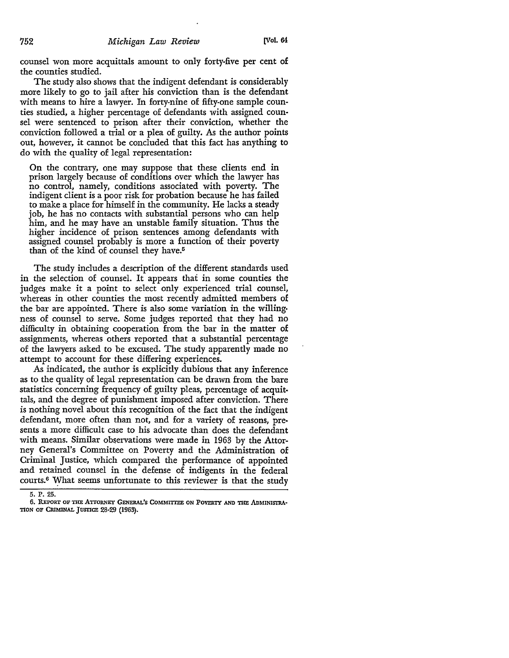counsel won more acquittals amount to only forty-five per cent of the counties studied.

The study also shows that the indigent defendant is considerably more likely to go to jail after his conviction than is the defendant with means to hire a lawyer. In forty-nine of fifty-one sample counties studied, a higher percentage of defendants with assigned counsel were sentenced to prison after their conviction, whether the conviction followed a trial or a plea of guilty. As the author points out, however, it cannot be concluded that this fact has anything to do with the quality of legal representation:

On the contrary, one may suppose that these clients end in prison largely because of conditions over which the lawyer has no control, namely, conditions associated with poverty. The indigent client is a poor risk for probation because he has failed to make a place for himself in the community. He lacks a steady job, he has no contacts with substantial persons who can help him, and he may have an unstable family situation. Thus the higher incidence of prison sentences among defendants with assigned counsel probably is more a function of their poverty than of the kind of counsel they have.<sup>5</sup>

The study includes a description of the different standards used in the selection of counsel. It appears that in some counties the judges make it a point to select only experienced trial counsel, whereas in other counties the most recently admitted members of the bar are appointed. There is also some variation in the willing• ness of counsel to serve. Some judges reported that they had no difficulty in obtaining cooperation from the bar in the matter of assignments, whereas others reported that a substantial percentage of the lawyers asked to be excused. The study apparently made no attempt to account for these differing experiences.

As indicated, the author is explicitly dubious that any inference as to the quality of legal representation can be drawn from the bare statistics concerning frequency of guilty pleas, percentage of acquittals, and the degree of punishment imposed after conviction. There is nothing novel about this recognition of the fact that the indigent defendant, more often than not, and for a variety of reasons, presents a more difficult case to his advocate than does the defendant with means. Similar observations were made in 1963 by the Attorney General's Committee on Poverty and the Administration of Criminal Justice, which compared the performance of appointed and retained counsel in the defense of indigents in the federal courts.6 \Yhat seems unfortunate to this reviewer is that the study

<sup>5.</sup> P. 25.

<sup>6.</sup> REPORT OF THE ATTORNEY GENERAL'S COMMITTEE ON POVERTY AND THE ADMINISTRA-TION OF CRIMINAL JUSTICE 28·29 (1963).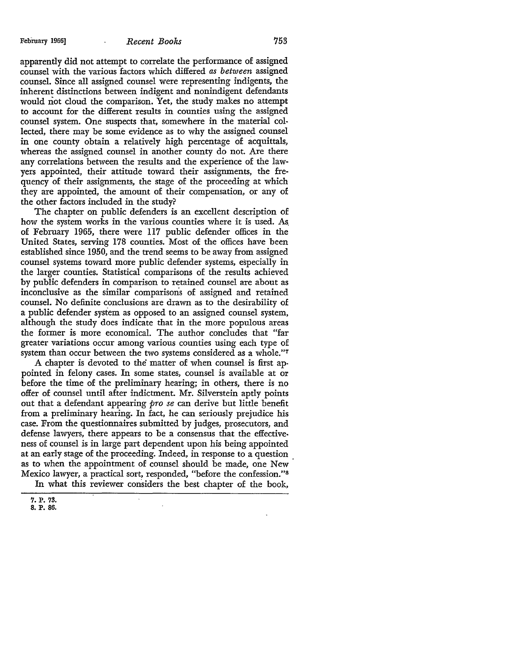#### February 1966] *Recent Books* 753

apparently did not attempt to correlate the performance of assigned counsel with the various factors which differed *as between* assigned counsel. Since all assigned counsel were representing indigents, the inherent distinctions between indigent and nonindigent defendants would not cloud the comparison. Yet, the study makes no attempt to account for the different results in counties using the assigned counsel system. One suspects that, somewhere in the material collected, there may be some evidence as to why the assigned counsel in one county obtain a relatively high percentage of acquittals, whereas the assigned counsel in another county do not. Are there any correlations between the results and the experience of the lawyers appointed, their attitude toward their assignments, the frequency of their assignments, the stage of the proceeding at which they are appointed, the amount of their compensation, or any of the other factors included in the study?

The chapter on public defenders is an excellent description of how the system works in the various counties where it is used. As. of February 1965, there were 117 public defender offices in the United States, serving 178 counties. Most of the offices have been established since 1950, and the trend seems to be away from assigned counsel systems toward more public defender systems, especially in the larger counties. Statistical comparisons of the results achieved by public defenders in comparison to retained counsel are about as inconclusive as the similar comparisons of assigned and retained counsel. No definite conclusions are drawn as to the desirability of a public defender system as opposed to an assigned counsel system, although the study does indicate that in the more populous areas the former is more economical. The author concludes that "far greater variations occur among various counties using each type of system than occur between the two systems considered as a whole."<sup>7</sup>

A chapter is devoted to the matter of when counsel is first appointed in felony cases. In some states, counsel is available at or before the time of the preliminary hearing; in others, there is no offer of counsel until after indictment. Mr. Silverstein aptly points out that a defendant appearing *pro se* can derive but little benefit from a preliminary hearing. In fact, he can seriously prejudice his case. From the questionnaires submitted by judges, prosecutors, and defense lawyers, there appears to be a consensus that the effectiveness of counsel is in large part dependent upon his being appointed at an early stage of the proceeding. Indeed, in response to a question as to when the appointment of counsel should be made, one New Mexico lawyer, a practical sort, responded, "before the confession."<sup>8</sup> In what this reviewer considers the best chapter of the book,

**<sup>7.</sup> P. 73. 8. P. 86.**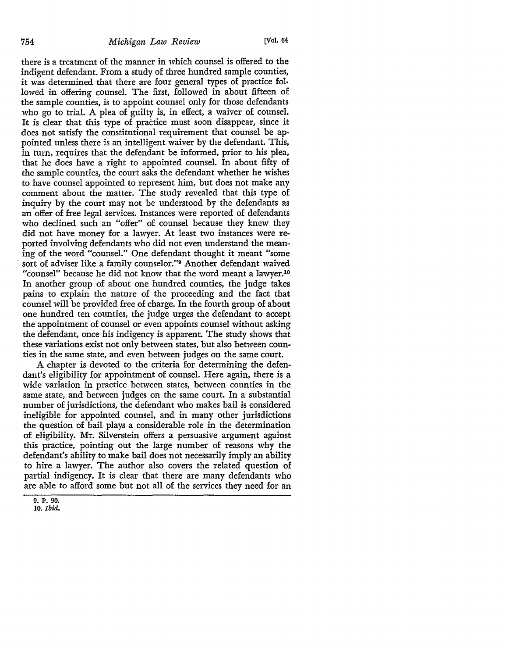there is a treatment of the manner in which counsel is offered to the indigent defendant. From a study of three hundred sample counties, it was determined that there are four general types of practice fol. lowed in offering counsel. The first, followed in about fifteen of the sample counties, is to appoint counsel only for those defendants who go to trial. A plea of guilty is, in effect, a waiver of counsel. It is clear that this type of practice must soon disappear, since it does not satisfy the constitutional requirement that counsel be appointed unless there is an intelligent waiver by the defendant. This, in tum, requires that the defendant be informed, prior to his plea, that he does have a right to appointed counsel. In about fifty of the sample counties, the court asks the defendant whether he wishes to have counsel appointed to represent him, but does not make any comment about the matter. The study revealed that this type of inquiry by the court may not be understood by the defendants as an offer of free legal services. Instances were reported of defendants who declined such an "offer" of counsel because they knew they did not have money for a lawyer. At least two instances were reported involving defendants who did not even understand the meaning of the word "counsel." One defendant thought it meant "some sort of adviser like a family counselor."<sup>9</sup> Another defendant waived "counsel" because he did not know that the word meant a lawyer.10 In another group of about one hundred counties, the judge takes pains to explain the nature of the proceeding and the fact that counsel will be provided free of charge. In the fourth group of about one hundred ten counties, the judge urges the defendant to accept the appointment of counsel or even appoints counsel without asking the defendant, once his indigency is apparent. The study shows that these variations exist not only between states, but also between counties in the same state, and even between judges on the same court.

A chapter is devoted to the criteria for determining the defendant's eligibility for appointment of counsel. Here again, there is a wide variation in practice between states, between counties in the same state, and between judges on the same court. In a substantial number of jurisdictions, the defendant who makes bail is considered ineligible for appointed counsel, and in many other jurisdictions the question of bail plays a considerable role in the determination of eligibility. Mr. Silverstein offers a persuasive argument against this practice, pointing out the large number of reasons why the defendant's ability to make bail does not necessarily imply an ability to hire a lawyer. The author also covers the related question of partial indigency. It is clear that there are many defendants who are able to afford some but not all of the services they need for an

<sup>9.</sup> P. 90. 10. *Ibid.*